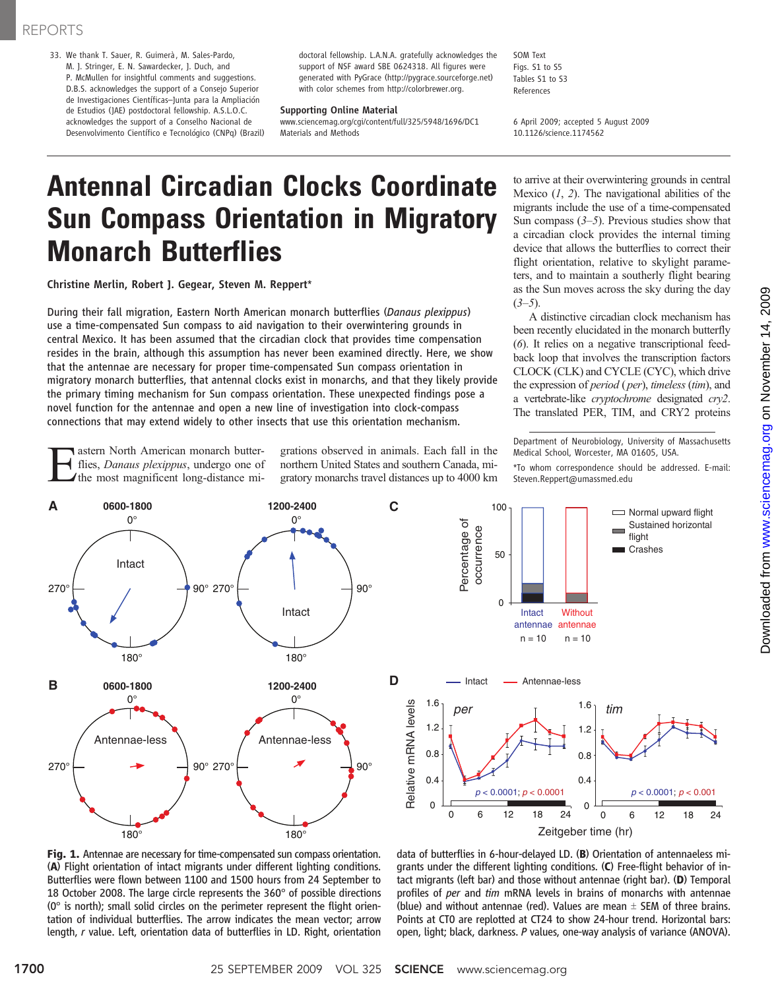## REPORTS

33. We thank T. Sauer, R. Guimerà, M. Sales-Pardo, M. J. Stringer, E. N. Sawardecker, J. Duch, and P. McMullen for insightful comments and suggestions. D.B.S. acknowledges the support of a Consejo Superior de Investigaciones Científicas*–*Junta para la Ampliación de Estudios (JAE) postdoctoral fellowship. A.S.L.O.C. acknowledges the support of a Conselho Nacional de Desenvolvimento Científico e Tecnológico (CNPq) (Brazil) doctoral fellowship. L.A.N.A. gratefully acknowledges the support of NSF award SBE 0624318. All figures were generated with PyGrace (http://pygrace.sourceforge.net) with color schemes from http://colorbrewer.org.

### Supporting Online Material

www.sciencemag.org/cgi/content/full/325/5948/1696/DC1 Materials and Methods

SOM Text Figs. S1 to S5 Tables S1 to S3 References

6 April 2009; accepted 5 August 2009 10.1126/science.1174562

# Antennal Circadian Clocks Coordinate Sun Compass Orientation in Migratory Monarch Butterflies

Christine Merlin, Robert J. Gegear, Steven M. Reppert\*

During their fall migration, Eastern North American monarch butterflies (Danaus plexippus) use a time-compensated Sun compass to aid navigation to their overwintering grounds in central Mexico. It has been assumed that the circadian clock that provides time compensation resides in the brain, although this assumption has never been examined directly. Here, we show that the antennae are necessary for proper time-compensated Sun compass orientation in migratory monarch butterflies, that antennal clocks exist in monarchs, and that they likely provide the primary timing mechanism for Sun compass orientation. These unexpected findings pose a novel function for the antennae and open a new line of investigation into clock-compass connections that may extend widely to other insects that use this orientation mechanism.

**Example 13 American monarch butter-**<br>flies, *Danaus plexippus*, undergo one of<br>the most magnificent long-distance miflies, Danaus plexippus, undergo one of grations observed in animals. Each fall in the northern United States and southern Canada, migratory monarchs travel distances up to 4000 km to arrive at their overwintering grounds in central Mexico  $(1, 2)$ . The navigational abilities of the migrants include the use of a time-compensated Sun compass  $(3-5)$ . Previous studies show that a circadian clock provides the internal timing device that allows the butterflies to correct their flight orientation, relative to skylight parameters, and to maintain a southerly flight bearing as the Sun moves across the sky during the day  $(3-5)$ .

A distinctive circadian clock mechanism has been recently elucidated in the monarch butterfly (6). It relies on a negative transcriptional feedback loop that involves the transcription factors CLOCK (CLK) and CYCLE (CYC), which drive the expression of *period* (*per*), *timeless* (*tim*), and a vertebrate-like cryptochrome designated cry2. The translated PER, TIM, and CRY2 proteins

Department of Neurobiology, University of Massachusetts Medical School, Worcester, MA 01605, USA.

\*To whom correspondence should be addressed. E-mail: Steven.Reppert@umassmed.edu

Normal upward flight



Percentage of Percentage of Sustained horizontal occurrence occurrence flight ■ Crashes 50  $\theta$ Intact **Without** antennae antennae  $n = 10$   $n = 10$ Intact - Antennae-less 1.6 Relative mRNA levels Relative mRNA levels 1.6 *per tim* 1.2 1.2 0.8 0.8 0.4 0.4 *p* < 0.0001; *p* < 0.0001 *p* < 0.0001; *p* < 0.001  $\mathbf 0$  $\Omega$ 0 12 24 0 12 24 6 18 6 18 Zeitgeber time (hr)

100

data of butterflies in 6-hour-delayed LD. (B) Orientation of antennaeless migrants under the different lighting conditions. (C) Free-flight behavior of intact migrants (left bar) and those without antennae (right bar). (D) Temporal profiles of per and tim mRNA levels in brains of monarchs with antennae (blue) and without antennae (red). Values are mean  $\pm$  SEM of three brains. Points at CT0 are replotted at CT24 to show 24-hour trend. Horizontal bars: open, light; black, darkness. P values, one-way analysis of variance (ANOVA).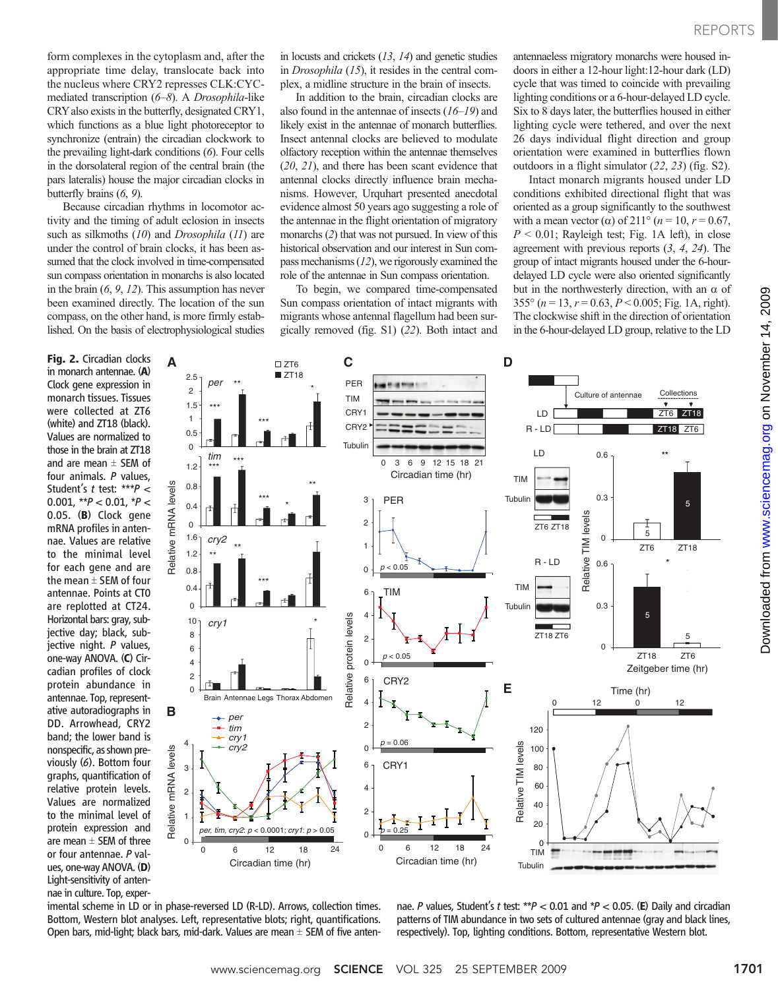form complexes in the cytoplasm and, after the appropriate time delay, translocate back into the nucleus where CRY2 represses CLK:CYCmediated transcription (6–8). A Drosophila-like CRYalso exists in the butterfly, designated CRY1, which functions as a blue light photoreceptor to synchronize (entrain) the circadian clockwork to the prevailing light-dark conditions (6). Four cells in the dorsolateral region of the central brain (the pars lateralis) house the major circadian clocks in butterfly brains (6, 9).

Because circadian rhythms in locomotor activity and the timing of adult eclosion in insects such as silkmoths (10) and *Drosophila* (11) are under the control of brain clocks, it has been assumed that the clock involved in time-compensated sun compass orientation in monarchs is also located in the brain  $(6, 9, 12)$ . This assumption has never been examined directly. The location of the sun compass, on the other hand, is more firmly established. On the basis of electrophysiological studies

Fig. 2. Circadian clocks in monarch antennae. (A) Clock gene expression in monarch tissues. Tissues were collected at ZT6 (white) and ZT18 (black). Values are normalized to those in the brain at ZT18 and are mean  $\pm$  SEM of four animals. P values, Student's t test: \*\*\*P < 0.001,  $*P < 0.01$ ,  $*P <$ 0.05. (B) Clock gene mRNA profiles in antennae. Values are relative to the minimal level for each gene and are the mean  $\pm$  SEM of four antennae. Points at CT0 are replotted at CT24. Horizontal bars: gray, subjective day; black, subjective night. P values, one-way ANOVA. (C) Circadian profiles of clock protein abundance in antennae. Top, representative autoradiographs in DD. Arrowhead, CRY2 band; the lower band is nonspecific, as shown previously (6). Bottom four graphs, quantification of relative protein levels. Values are normalized to the minimal level of protein expression and are mean  $\pm$  SEM of three or four antennae. P values, one-way ANOVA. (D) Light-sensitivity of antennae in culture. Top, experevidence almost 50 years ago suggesting a role of the antennae in the flight orientation of migratory monarchs (2) that was not pursued. In view of this historical observation and our interest in Sun compass mechanisms (12), we rigorously examined the role of the antennae in Sun compass orientation.

in locusts and crickets  $(13, 14)$  and genetic studies in Drosophila (15), it resides in the central complex, a midline structure in the brain of insects. In addition to the brain, circadian clocks are also found in the antennae of insects  $(16–19)$  and likely exist in the antennae of monarch butterflies. Insect antennal clocks are believed to modulate

To begin, we compared time-compensated Sun compass orientation of intact migrants with migrants whose antennal flagellum had been surgically removed (fig. S1) (22). Both intact and

antennaeless migratory monarchs were housed indoors in either a 12-hour light:12-hour dark (LD) cycle that was timed to coincide with prevailing lighting conditions or a 6-hour-delayed LD cycle. Six to 8 days later, the butterflies housed in either lighting cycle were tethered, and over the next 26 days individual flight direction and group orientation were examined in butterflies flown outdoors in a flight simulator (22, 23) (fig. S2).

Intact monarch migrants housed under LD conditions exhibited directional flight that was oriented as a group significantly to the southwest with a mean vector ( $\alpha$ ) of 211° ( $n = 10$ ,  $r = 0.67$ ,  $P < 0.01$ ; Rayleigh test; Fig. 1A left), in close agreement with previous reports (3, 4, 24). The group of intact migrants housed under the 6-hourdelayed LD cycle were also oriented significantly but in the northwesterly direction, with an  $\alpha$  of 355° ( $n = 13$ ,  $r = 0.63$ ,  $P < 0.005$ ; Fig. 1A, right). The clockwise shift in the direction of orientation in the 6-hour-delayed LD group, relative to the LD



imental scheme in LD or in phase-reversed LD (R-LD). Arrows, collection times. Bottom, Western blot analyses. Left, representative blots; right, quantifications. Open bars, mid-light; black bars, mid-dark. Values are mean  $\pm$  SEM of five antennae. P values, Student's t test: \*\* P < 0.01 and \* P < 0.05. (E) Daily and circadian patterns of TIM abundance in two sets of cultured antennae (gray and black lines, respectively). Top, lighting conditions. Bottom, representative Western blot.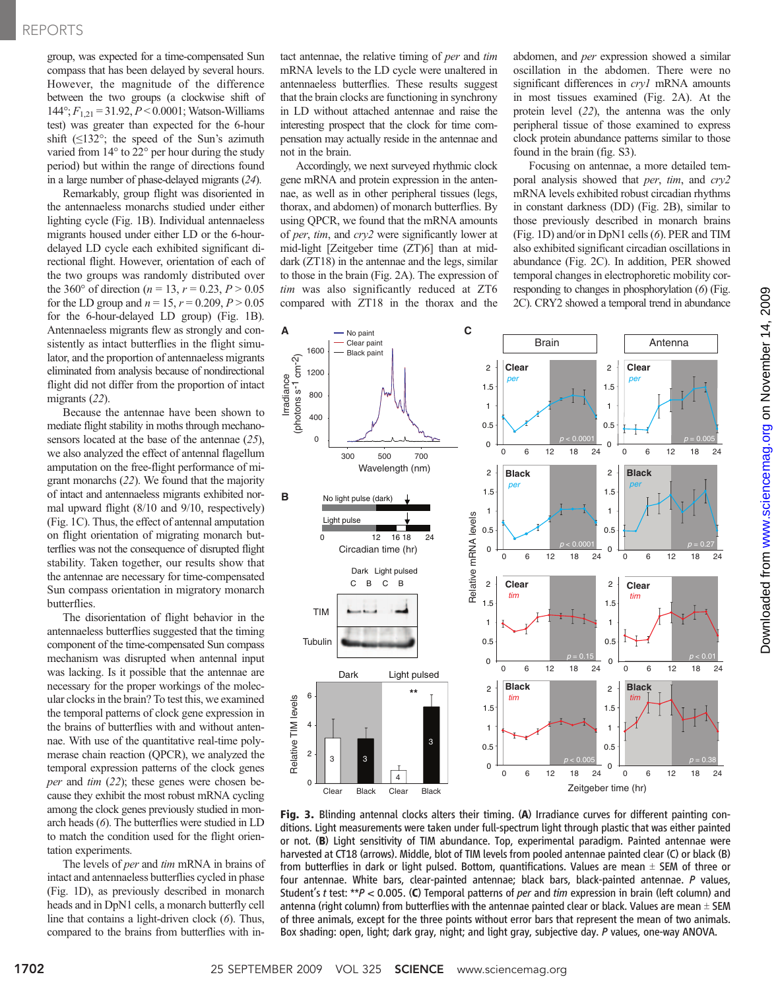group, was expected for a time-compensated Sun compass that has been delayed by several hours. However, the magnitude of the difference between the two groups (a clockwise shift of  $144^\circ; F_{1,21} = 31.92, P < 0.0001;$  Watson-Williams test) was greater than expected for the 6-hour shift  $(\leq 132^{\circ})$ ; the speed of the Sun's azimuth varied from 14° to 22° per hour during the study period) but within the range of directions found in a large number of phase-delayed migrants (24).

Remarkably, group flight was disoriented in the antennaeless monarchs studied under either lighting cycle (Fig. 1B). Individual antennaeless migrants housed under either LD or the 6-hourdelayed LD cycle each exhibited significant directional flight. However, orientation of each of the two groups was randomly distributed over the 360° of direction ( $n = 13$ ,  $r = 0.23$ ,  $P > 0.05$ for the LD group and  $n = 15$ ,  $r = 0.209$ ,  $P > 0.05$ for the 6-hour-delayed LD group) (Fig. 1B). Antennaeless migrants flew as strongly and consistently as intact butterflies in the flight simulator, and the proportion of antennaeless migrants eliminated from analysis because of nondirectional flight did not differ from the proportion of intact migrants (22).

Because the antennae have been shown to mediate flight stability in moths through mechanosensors located at the base of the antennae (25), we also analyzed the effect of antennal flagellum amputation on the free-flight performance of migrant monarchs (22). We found that the majority of intact and antennaeless migrants exhibited normal upward flight (8/10 and 9/10, respectively) (Fig. 1C). Thus, the effect of antennal amputation on flight orientation of migrating monarch butterflies was not the consequence of disrupted flight stability. Taken together, our results show that the antennae are necessary for time-compensated Sun compass orientation in migratory monarch butterflies.

The disorientation of flight behavior in the antennaeless butterflies suggested that the timing component of the time-compensated Sun compass mechanism was disrupted when antennal input was lacking. Is it possible that the antennae are necessary for the proper workings of the molecular clocks in the brain? To test this, we examined the temporal patterns of clock gene expression in the brains of butterflies with and without antennae. With use of the quantitative real-time polymerase chain reaction (QPCR), we analyzed the temporal expression patterns of the clock genes per and tim (22); these genes were chosen because they exhibit the most robust mRNA cycling among the clock genes previously studied in monarch heads (6). The butterflies were studied in LD to match the condition used for the flight orientation experiments.

The levels of *per* and *tim* mRNA in brains of intact and antennaeless butterflies cycled in phase (Fig. 1D), as previously described in monarch heads and in DpN1 cells, a monarch butterfly cell line that contains a light-driven clock (6). Thus, compared to the brains from butterflies with intact antennae, the relative timing of per and tim mRNA levels to the LD cycle were unaltered in antennaeless butterflies. These results suggest that the brain clocks are functioning in synchrony in LD without attached antennae and raise the interesting prospect that the clock for time compensation may actually reside in the antennae and not in the brain.

Accordingly, we next surveyed rhythmic clock gene mRNA and protein expression in the antennae, as well as in other peripheral tissues (legs, thorax, and abdomen) of monarch butterflies. By using QPCR, we found that the mRNA amounts of per, tim, and cry2 were significantly lower at mid-light [Zeitgeber time (ZT)6] than at middark (ZT18) in the antennae and the legs, similar to those in the brain (Fig. 2A). The expression of tim was also significantly reduced at ZT6 compared with ZT18 in the thorax and the

abdomen, and per expression showed a similar oscillation in the abdomen. There were no significant differences in cryl mRNA amounts in most tissues examined (Fig. 2A). At the protein level (22), the antenna was the only peripheral tissue of those examined to express clock protein abundance patterns similar to those found in the brain (fig. S3).

Focusing on antennae, a more detailed temporal analysis showed that per, tim, and cry2 mRNA levels exhibited robust circadian rhythms in constant darkness (DD) (Fig. 2B), similar to those previously described in monarch brains (Fig. 1D) and/or in DpN1 cells (6). PER and TIM also exhibited significant circadian oscillations in abundance (Fig. 2C). In addition, PER showed temporal changes in electrophoretic mobility corresponding to changes in phosphorylation (6) (Fig. 2C). CRY2 showed a temporal trend in abundance



Fig. 3. Blinding antennal clocks alters their timing. (A) Irradiance curves for different painting conditions. Light measurements were taken under full-spectrum light through plastic that was either painted or not. (B) Light sensitivity of TIM abundance. Top, experimental paradigm. Painted antennae were harvested at CT18 (arrows). Middle, blot of TIM levels from pooled antennae painted clear (C) or black (B) from butterflies in dark or light pulsed. Bottom, quantifications. Values are mean  $\pm$  SEM of three or four antennae. White bars, clear-painted antennae; black bars, black-painted antennae. P values, Student's t test: \*\* $P < 0.005$ . (C) Temporal patterns of *per* and tim expression in brain (left column) and antenna (right column) from butterflies with the antennae painted clear or black. Values are mean  $\pm$  SEM of three animals, except for the three points without error bars that represent the mean of two animals. Box shading: open, light; dark gray, night; and light gray, subjective day. P values, one-way ANOVA.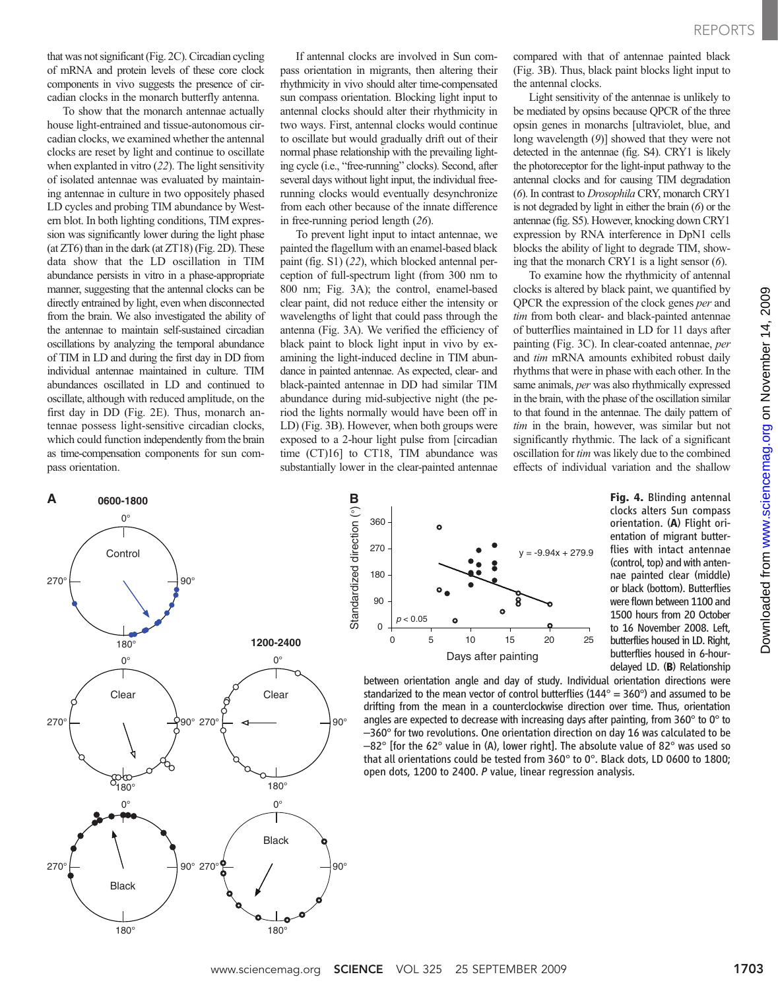that was not significant (Fig. 2C). Circadian cycling of mRNA and protein levels of these core clock components in vivo suggests the presence of circadian clocks in the monarch butterfly antenna.

To show that the monarch antennae actually house light-entrained and tissue-autonomous circadian clocks, we examined whether the antennal clocks are reset by light and continue to oscillate when explanted in vitro (22). The light sensitivity of isolated antennae was evaluated by maintaining antennae in culture in two oppositely phased LD cycles and probing TIM abundance by Western blot. In both lighting conditions, TIM expression was significantly lower during the light phase (at ZT6) than in the dark (at ZT18) (Fig. 2D). These data show that the LD oscillation in TIM abundance persists in vitro in a phase-appropriate manner, suggesting that the antennal clocks can be directly entrained by light, even when disconnected from the brain. We also investigated the ability of the antennae to maintain self-sustained circadian oscillations by analyzing the temporal abundance of TIM in LD and during the first day in DD from individual antennae maintained in culture. TIM abundances oscillated in LD and continued to oscillate, although with reduced amplitude, on the first day in DD (Fig. 2E). Thus, monarch antennae possess light-sensitive circadian clocks, which could function independently from the brain as time-compensation components for sun compass orientation.

If antennal clocks are involved in Sun compass orientation in migrants, then altering their rhythmicity in vivo should alter time-compensated sun compass orientation. Blocking light input to antennal clocks should alter their rhythmicity in two ways. First, antennal clocks would continue to oscillate but would gradually drift out of their normal phase relationship with the prevailing lighting cycle (i.e., "free-running" clocks). Second, after several days without light input, the individual freerunning clocks would eventually desynchronize from each other because of the innate difference in free-running period length (26).

To prevent light input to intact antennae, we painted the flagellum with an enamel-based black paint (fig. S1) (22), which blocked antennal perception of full-spectrum light (from 300 nm to 800 nm; Fig. 3A); the control, enamel-based clear paint, did not reduce either the intensity or wavelengths of light that could pass through the antenna (Fig. 3A). We verified the efficiency of black paint to block light input in vivo by examining the light-induced decline in TIM abundance in painted antennae. As expected, clear- and black-painted antennae in DD had similar TIM abundance during mid-subjective night (the period the lights normally would have been off in LD) (Fig. 3B). However, when both groups were exposed to a 2-hour light pulse from [circadian time (CT)16] to CT18, TIM abundance was substantially lower in the clear-painted antennae compared with that of antennae painted black (Fig. 3B). Thus, black paint blocks light input to the antennal clocks.

Light sensitivity of the antennae is unlikely to be mediated by opsins because QPCR of the three opsin genes in monarchs [ultraviolet, blue, and long wavelength (9)] showed that they were not detected in the antennae (fig. S4). CRY1 is likely the photoreceptor for the light-input pathway to the antennal clocks and for causing TIM degradation (6). In contrast to Drosophila CRY, monarch CRY1 is not degraded by light in either the brain (6) or the antennae (fig. S5). However, knocking down CRY1 expression by RNA interference in DpN1 cells blocks the ability of light to degrade TIM, showing that the monarch CRY1 is a light sensor (6).

To examine how the rhythmicity of antennal clocks is altered by black paint, we quantified by QPCR the expression of the clock genes per and tim from both clear- and black-painted antennae of butterflies maintained in LD for 11 days after painting (Fig. 3C). In clear-coated antennae, per and tim mRNA amounts exhibited robust daily rhythms that were in phase with each other. In the same animals, per was also rhythmically expressed in the brain, with the phase of the oscillation similar to that found in the antennae. The daily pattern of tim in the brain, however, was similar but not significantly rhythmic. The lack of a significant oscillation for tim was likely due to the combined effects of individual variation and the shallow





Fig. 4. Blinding antennal clocks alters Sun compass orientation. (A) Flight orientation of migrant butterflies with intact antennae (control, top) and with antennae painted clear (middle) or black (bottom). Butterflies were flown between 1100 and 1500 hours from 20 October to 16 November 2008. Left, butterflies housed in LD. Right, butterflies housed in 6-hourdelayed LD. (B) Relationship

between orientation angle and day of study. Individual orientation directions were standarized to the mean vector of control butterflies ( $144^\circ$  = 360°) and assumed to be drifting from the mean in a counterclockwise direction over time. Thus, orientation angles are expected to decrease with increasing days after painting, from 360° to 0° to –360° for two revolutions. One orientation direction on day 16 was calculated to be  $-82^{\circ}$  [for the 62 $^{\circ}$  value in (A), lower right]. The absolute value of 82 $^{\circ}$  was used so that all orientations could be tested from 360° to 0°. Black dots, LD 0600 to 1800; open dots, 1200 to 2400. P value, linear regression analysis.